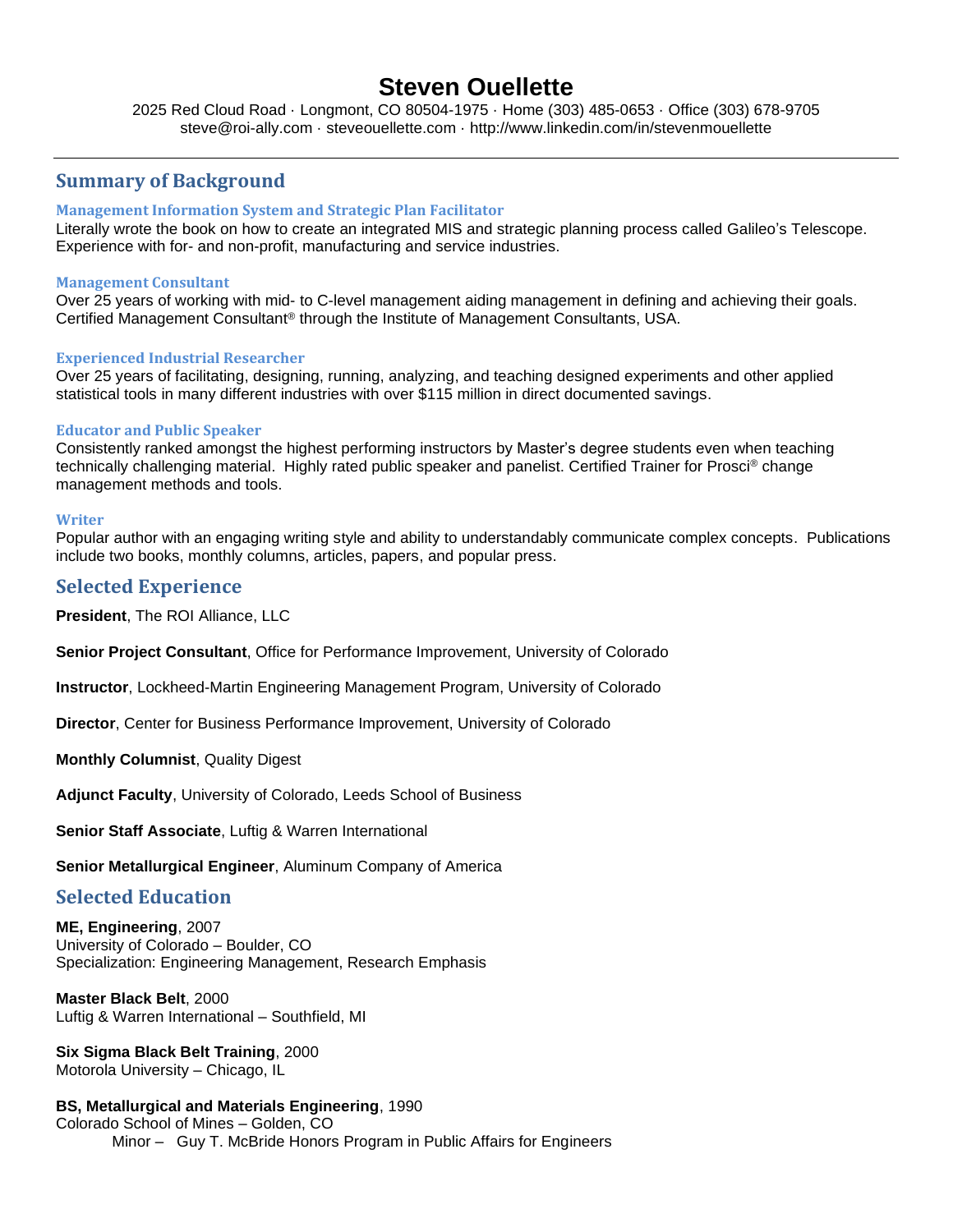# **Steven Ouellette**

2025 Red Cloud Road · Longmont, CO 80504-1975 · Home (303) 485-0653 · Office (303) 678-9705 steve@roi-ally.com · steveouellette.com · http://www.linkedin.com/in/stevenmouellette

## **Summary of Background**

#### **Management Information System and Strategic Plan Facilitator**

Literally wrote the book on how to create an integrated MIS and strategic planning process called Galileo's Telescope. Experience with for- and non-profit, manufacturing and service industries.

#### **Management Consultant**

Over 25 years of working with mid- to C-level management aiding management in defining and achieving their goals. Certified Management Consultant® through the Institute of Management Consultants, USA.

#### **Experienced Industrial Researcher**

Over 25 years of facilitating, designing, running, analyzing, and teaching designed experiments and other applied statistical tools in many different industries with over \$115 million in direct documented savings.

#### **Educator and Public Speaker**

Consistently ranked amongst the highest performing instructors by Master's degree students even when teaching technically challenging material. Highly rated public speaker and panelist. Certified Trainer for Prosci® change management methods and tools.

#### **Writer**

Popular author with an engaging writing style and ability to understandably communicate complex concepts. Publications include two books, monthly columns, articles, papers, and popular press.

### **Selected Experience**

**President**, The ROI Alliance, LLC

**Senior Project Consultant**, Office for Performance Improvement, University of Colorado

**Instructor**, Lockheed-Martin Engineering Management Program, University of Colorado

**Director**, Center for Business Performance Improvement, University of Colorado

**Monthly Columnist**, Quality Digest

**Adjunct Faculty**, University of Colorado, Leeds School of Business

**Senior Staff Associate**, Luftig & Warren International

**Senior Metallurgical Engineer**, Aluminum Company of America

#### **Selected Education**

**ME, Engineering**, 2007 University of Colorado – Boulder, CO Specialization: Engineering Management, Research Emphasis

**Master Black Belt**, 2000 Luftig & Warren International – Southfield, MI

**Six Sigma Black Belt Training**, 2000 Motorola University – Chicago, IL

**BS, Metallurgical and Materials Engineering**, 1990 Colorado School of Mines – Golden, CO Minor – Guy T. McBride Honors Program in Public Affairs for Engineers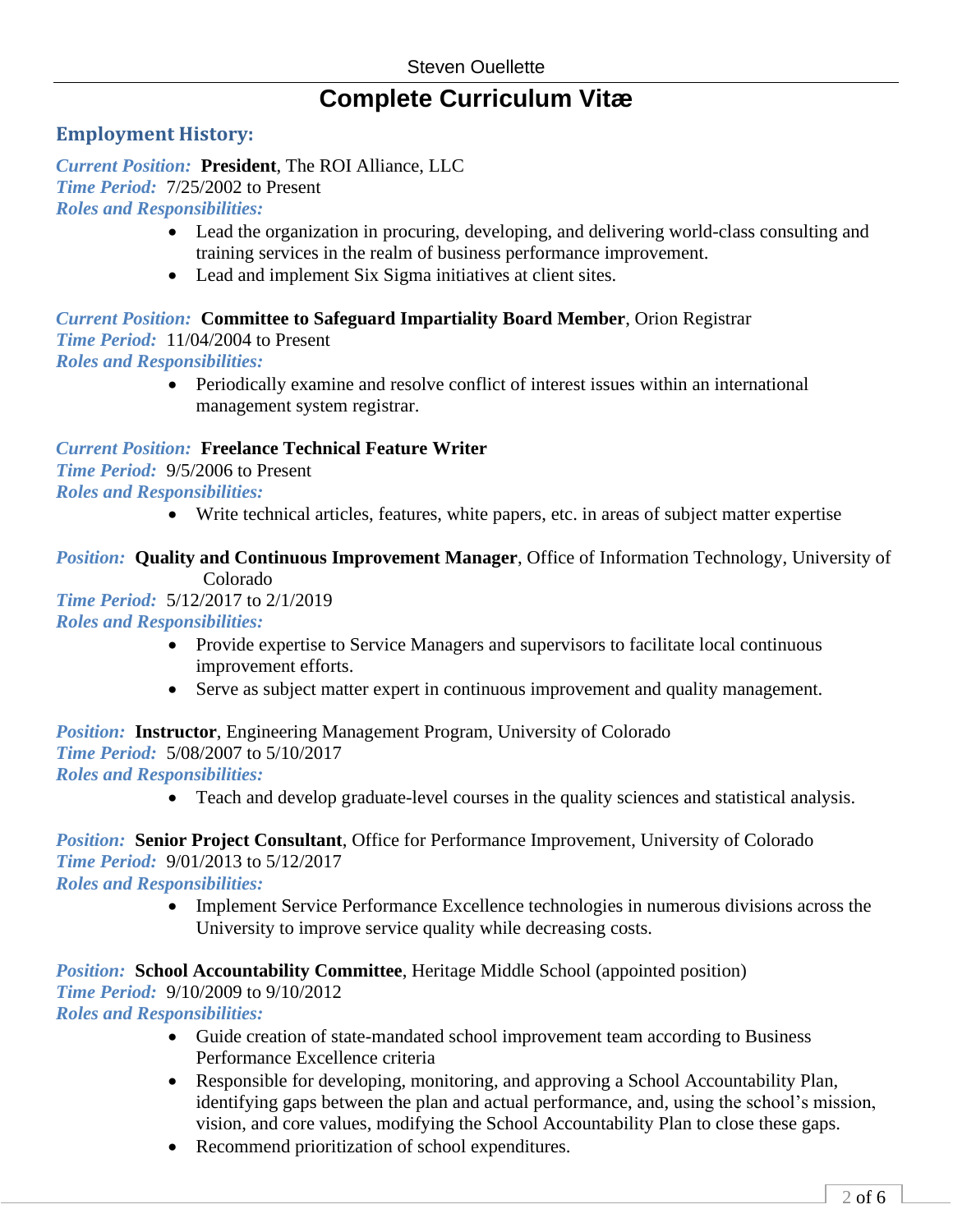# **Complete Curriculum Vitæ**

## **Employment History:**

*Current Position:* **President**, The ROI Alliance, LLC *Time Period:* 7/25/2002 to Present *Roles and Responsibilities:*

- Lead the organization in procuring, developing, and delivering world-class consulting and training services in the realm of business performance improvement.
- Lead and implement Six Sigma initiatives at client sites.

## *Current Position:* **Committee to Safeguard Impartiality Board Member**, Orion Registrar

*Time Period:* 11/04/2004 to Present

*Roles and Responsibilities:*

• Periodically examine and resolve conflict of interest issues within an international management system registrar.

*Current Position:* **Freelance Technical Feature Writer** *Time Period:* 9/5/2006 to Present *Roles and Responsibilities:*

• Write technical articles, features, white papers, etc. in areas of subject matter expertise

## *Position:* **Quality and Continuous Improvement Manager**, Office of Information Technology, University of Colorado

## *Time Period:* 5/12/2017 to 2/1/2019 *Roles and Responsibilities:*

- Provide expertise to Service Managers and supervisors to facilitate local continuous improvement efforts.
- Serve as subject matter expert in continuous improvement and quality management.

*Position:* **Instructor**, Engineering Management Program, University of Colorado *Time Period:* 5/08/2007 to 5/10/2017 *Roles and Responsibilities:*

• Teach and develop graduate-level courses in the quality sciences and statistical analysis.

# *Position:* **Senior Project Consultant**, Office for Performance Improvement, University of Colorado *Time Period:* 9/01/2013 to 5/12/2017

*Roles and Responsibilities:*

• Implement Service Performance Excellence technologies in numerous divisions across the University to improve service quality while decreasing costs.

*Position:* **School Accountability Committee**, Heritage Middle School (appointed position) *Time Period:* 9/10/2009 to 9/10/2012 *Roles and Responsibilities:*

- Guide creation of state-mandated school improvement team according to Business Performance Excellence criteria
- Responsible for developing, monitoring, and approving a School Accountability Plan, identifying gaps between the plan and actual performance, and, using the school's mission, vision, and core values, modifying the School Accountability Plan to close these gaps.
- Recommend prioritization of school expenditures.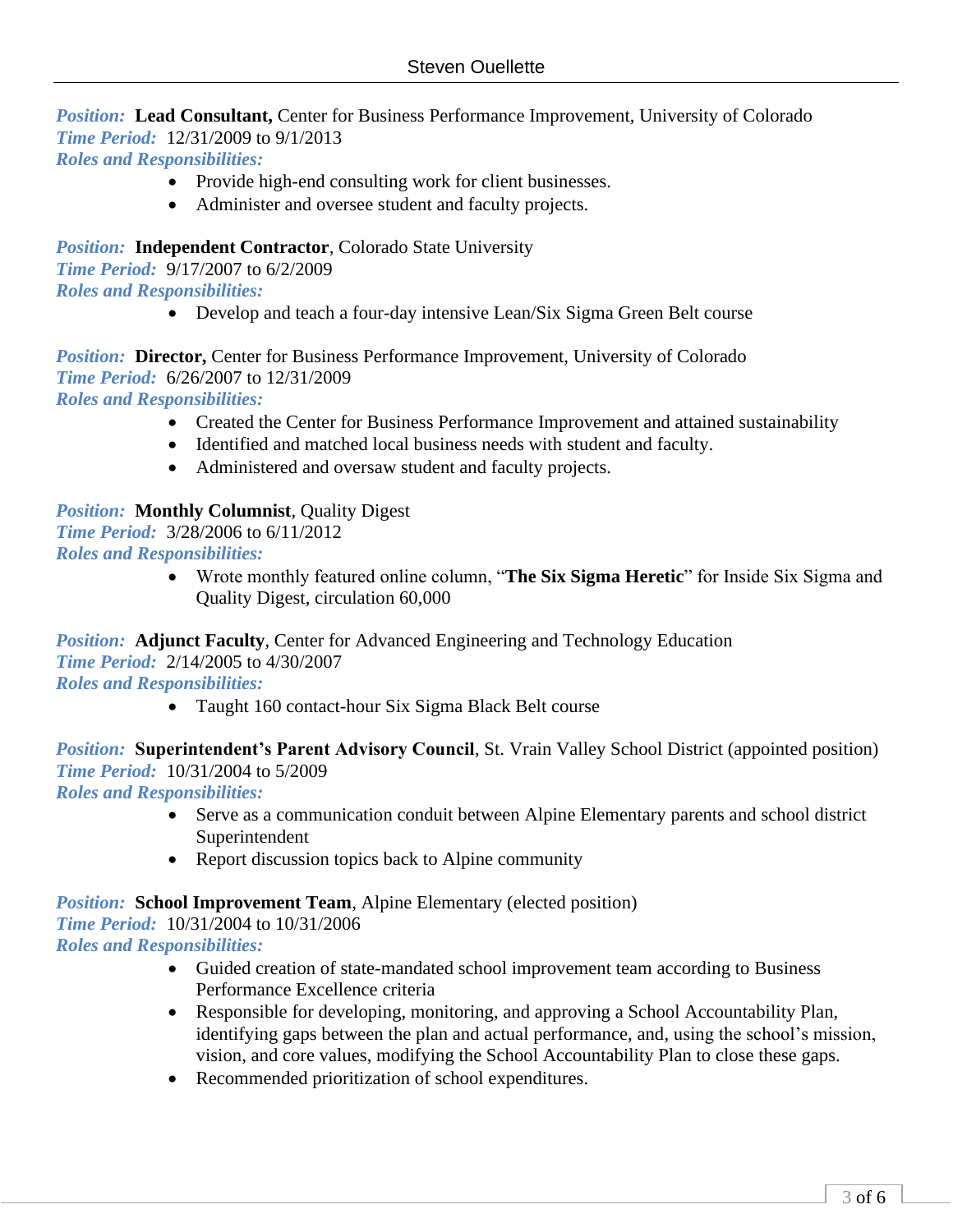#### *Position:* Lead Consultant, Center for Business Performance Improvement, University of Colorado *Time Period:* 12/31/2009 to 9/1/2013 *Roles and Responsibilities:*

- Provide high-end consulting work for client businesses.
- Administer and oversee student and faculty projects.

*Position:* **Independent Contractor**, Colorado State University

*Time Period:* 9/17/2007 to 6/2/2009 *Roles and Responsibilities:*

• Develop and teach a four-day intensive Lean/Six Sigma Green Belt course

**Position: Director, Center for Business Performance Improvement, University of Colorado** *Time Period:* 6/26/2007 to 12/31/2009 *Roles and Responsibilities:*

- Created the Center for Business Performance Improvement and attained sustainability
- Identified and matched local business needs with student and faculty.
- Administered and oversaw student and faculty projects.

### *Position:* **Monthly Columnist**, Quality Digest

*Time Period:* 3/28/2006 to 6/11/2012

*Roles and Responsibilities:*

• Wrote monthly featured online column, "**The Six Sigma Heretic**" for Inside Six Sigma and Quality Digest, circulation 60,000

*Position:* **Adjunct Faculty**, Center for Advanced Engineering and Technology Education *Time Period:* 2/14/2005 to 4/30/2007

*Roles and Responsibilities:*

• Taught 160 contact-hour Six Sigma Black Belt course

*Position:* **Superintendent's Parent Advisory Council**, St. Vrain Valley School District (appointed position) *Time Period:* 10/31/2004 to 5/2009

*Roles and Responsibilities:*

- Serve as a communication conduit between Alpine Elementary parents and school district Superintendent
- Report discussion topics back to Alpine community

#### *Position:* **School Improvement Team**, Alpine Elementary (elected position) *Time Period:* 10/31/2004 to 10/31/2006

*Roles and Responsibilities:*

- Guided creation of state-mandated school improvement team according to Business Performance Excellence criteria
- Responsible for developing, monitoring, and approving a School Accountability Plan, identifying gaps between the plan and actual performance, and, using the school's mission, vision, and core values, modifying the School Accountability Plan to close these gaps.
- Recommended prioritization of school expenditures.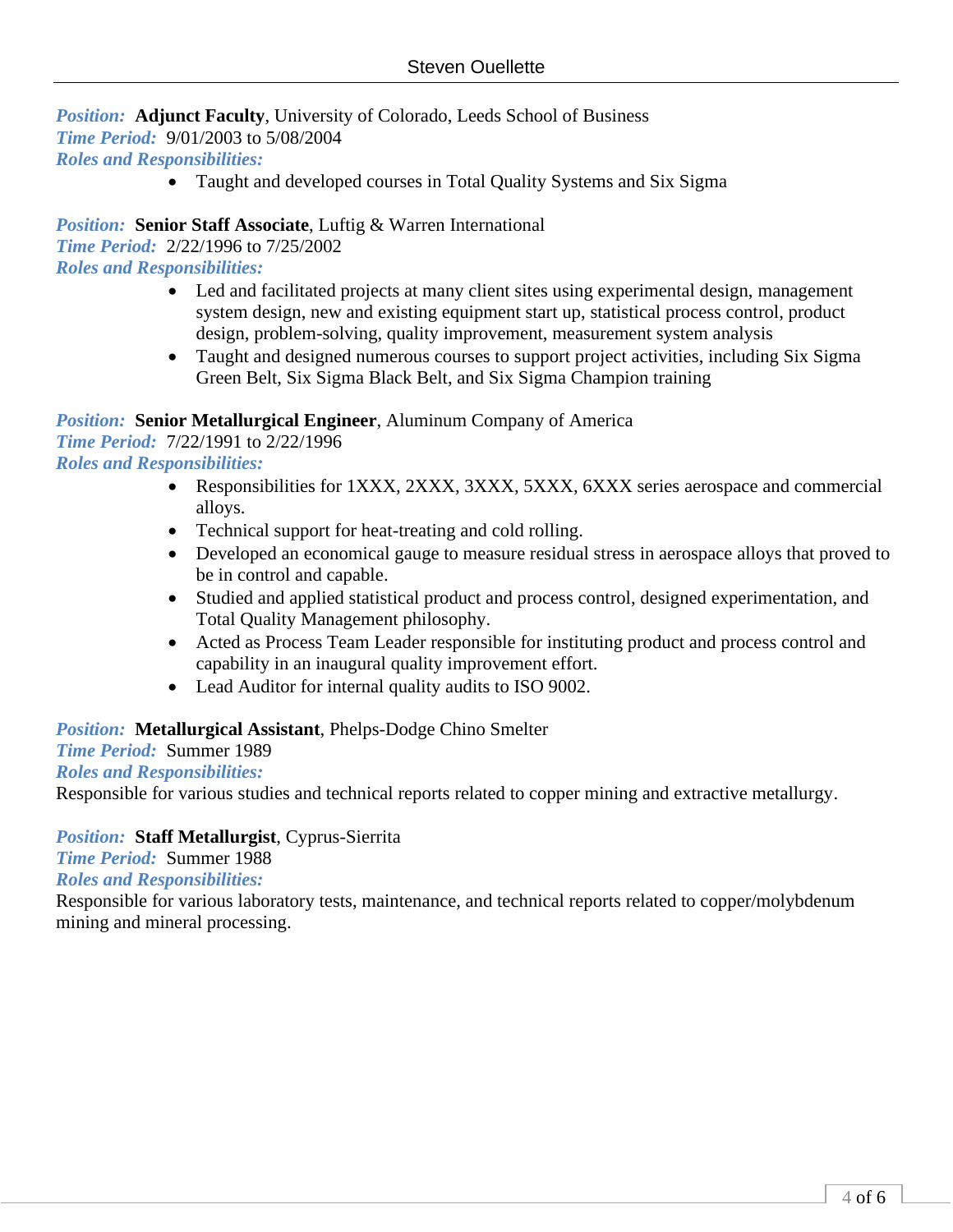## *Position:* **Adjunct Faculty**, University of Colorado, Leeds School of Business

*Time Period:* 9/01/2003 to 5/08/2004

*Roles and Responsibilities:*

• Taught and developed courses in Total Quality Systems and Six Sigma

## *Position:* **Senior Staff Associate**, Luftig & Warren International

*Time Period:* 2/22/1996 to 7/25/2002

*Roles and Responsibilities:*

- Led and facilitated projects at many client sites using experimental design, management system design, new and existing equipment start up, statistical process control, product design, problem-solving, quality improvement, measurement system analysis
- Taught and designed numerous courses to support project activities, including Six Sigma Green Belt, Six Sigma Black Belt, and Six Sigma Champion training

# *Position:* **Senior Metallurgical Engineer**, Aluminum Company of America

*Time Period:* 7/22/1991 to 2/22/1996

*Roles and Responsibilities:*

- Responsibilities for 1XXX, 2XXX, 3XXX, 5XXX, 6XXX series aerospace and commercial alloys.
- Technical support for heat-treating and cold rolling.
- Developed an economical gauge to measure residual stress in aerospace alloys that proved to be in control and capable.
- Studied and applied statistical product and process control, designed experimentation, and Total Quality Management philosophy.
- Acted as Process Team Leader responsible for instituting product and process control and capability in an inaugural quality improvement effort.
- Lead Auditor for internal quality audits to ISO 9002.

## *Position:* **Metallurgical Assistant**, Phelps-Dodge Chino Smelter

### *Time Period:* Summer 1989

### *Roles and Responsibilities:*

Responsible for various studies and technical reports related to copper mining and extractive metallurgy.

### *Position:* **Staff Metallurgist**, Cyprus-Sierrita

*Time Period:* Summer 1988

*Roles and Responsibilities:*

Responsible for various laboratory tests, maintenance, and technical reports related to copper/molybdenum mining and mineral processing.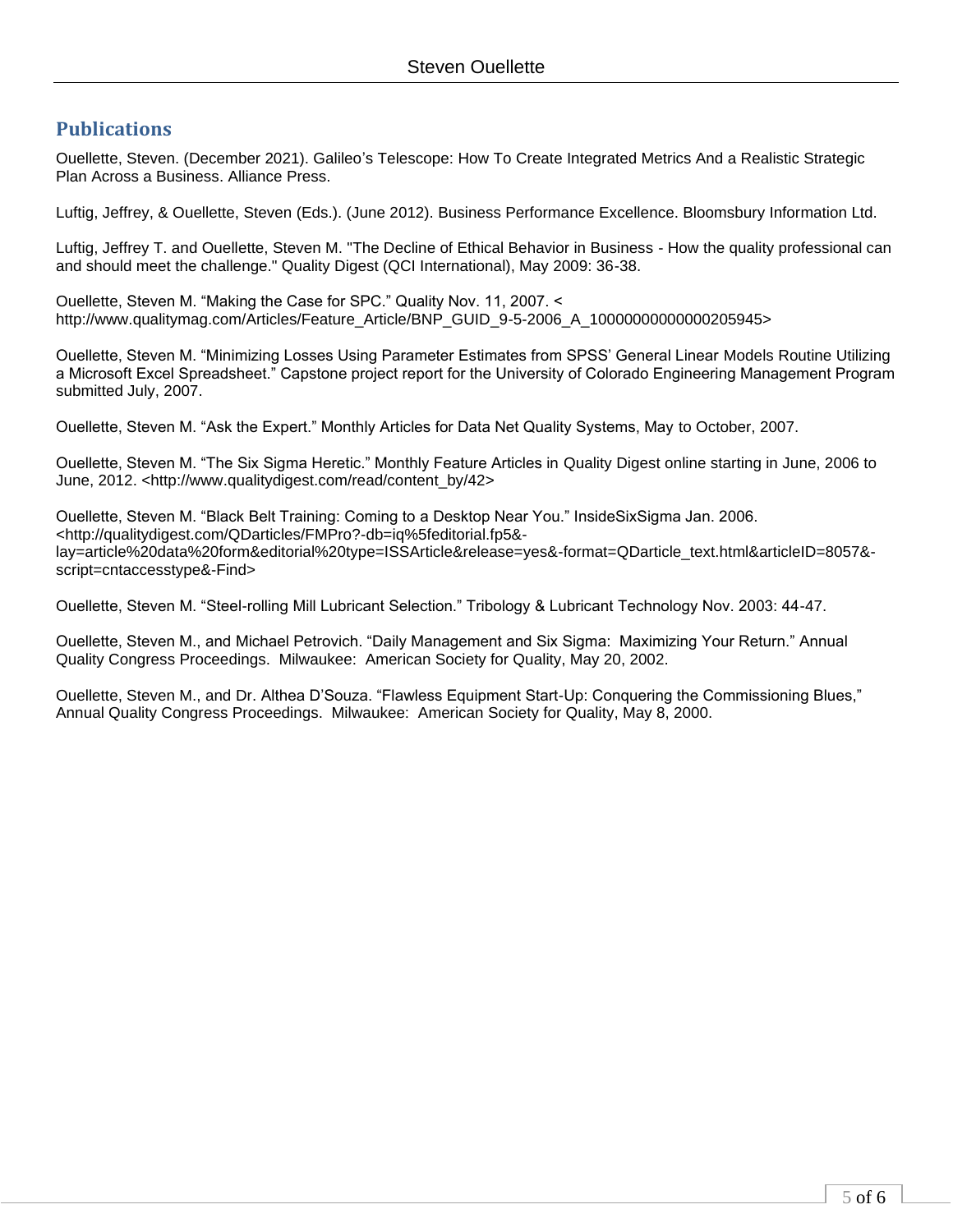## **Publications**

Ouellette, Steven. (December 2021). Galileo's Telescope: How To Create Integrated Metrics And a Realistic Strategic Plan Across a Business. Alliance Press.

Luftig, Jeffrey, & Ouellette, Steven (Eds.). (June 2012). Business Performance Excellence. Bloomsbury Information Ltd.

Luftig, Jeffrey T. and Ouellette, Steven M. "The Decline of Ethical Behavior in Business - How the quality professional can and should meet the challenge." Quality Digest (QCI International), May 2009: 36-38.

Ouellette, Steven M. "Making the Case for SPC." Quality Nov. 11, 2007. < http://www.qualitymag.com/Articles/Feature\_Article/BNP\_GUID\_9-5-2006\_A\_10000000000000205945>

Ouellette, Steven M. "Minimizing Losses Using Parameter Estimates from SPSS' General Linear Models Routine Utilizing a Microsoft Excel Spreadsheet." Capstone project report for the University of Colorado Engineering Management Program submitted July, 2007.

Ouellette, Steven M. "Ask the Expert." Monthly Articles for Data Net Quality Systems, May to October, 2007.

Ouellette, Steven M. "The Six Sigma Heretic." Monthly Feature Articles in Quality Digest online starting in June, 2006 to June, 2012. <http://www.qualitydigest.com/read/content\_by/42>

Ouellette, Steven M. "Black Belt Training: Coming to a Desktop Near You." InsideSixSigma Jan. 2006. <http://qualitydigest.com/QDarticles/FMPro?-db=iq%5feditorial.fp5& lay=article%20data%20form&editorial%20type=ISSArticle&release=yes&-format=QDarticle\_text.html&articleID=8057& script=cntaccesstype&-Find>

Ouellette, Steven M. "Steel-rolling Mill Lubricant Selection." Tribology & Lubricant Technology Nov. 2003: 44-47.

Ouellette, Steven M., and Michael Petrovich. "Daily Management and Six Sigma: Maximizing Your Return." Annual Quality Congress Proceedings. Milwaukee: American Society for Quality, May 20, 2002.

Ouellette, Steven M., and Dr. Althea D'Souza. "Flawless Equipment Start-Up: Conquering the Commissioning Blues," Annual Quality Congress Proceedings. Milwaukee: American Society for Quality, May 8, 2000.